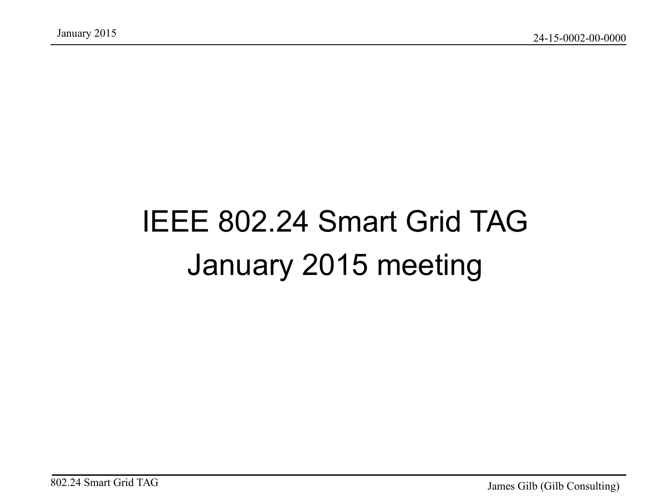### IEEE 802.24 Smart Grid TAG January 2015 meeting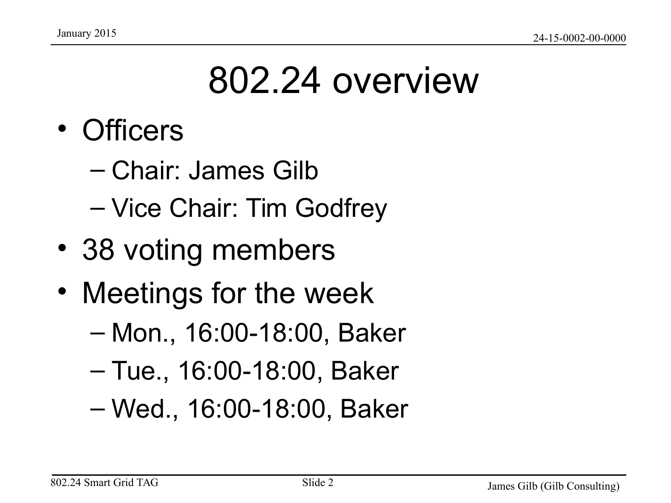### 802.24 overview

- Officers
	- Chair: James Gilb
	- Vice Chair: Tim Godfrey
- 38 voting members
- Meetings for the week
	- Mon., 16:00-18:00, Baker
	- Tue., 16:00-18:00, Baker
	- Wed., 16:00-18:00, Baker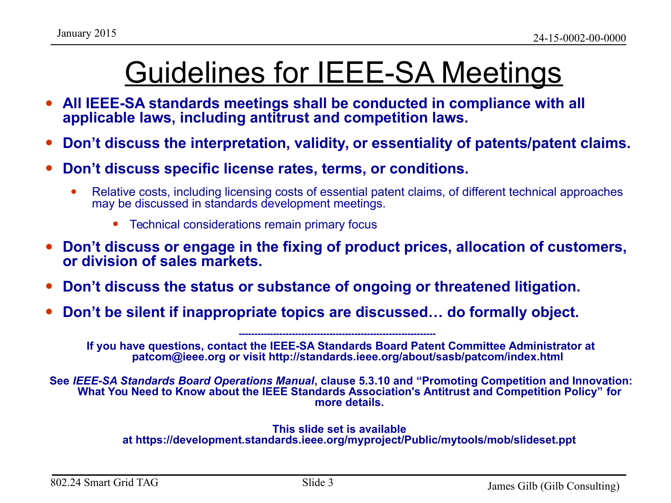### Guidelines for IEEE-SA Meetings

- All IEEE-SA standards meetings shall be conducted in compliance with all **applicable laws, including antitrust and competition laws.**
- **Don't discuss the interpretation, validity, or essentiality of patents/patent claims.**
- **Don't discuss specific license rates, terms, or conditions.**
	- Relative costs, including licensing costs of essential patent claims, of different technical approaches may be discussed in standards development meetings.
		- Technical considerations remain primary focus
- **Don't discuss or engage in the fixing of product prices, allocation of customers, or division of sales markets.**
- **Don't discuss the status or substance of ongoing or threatened litigation.**
- **Don't be silent if inappropriate topics are discussed… do formally object.**

**If you have questions, contact the IEEE-SA Standards Board Patent Committee Administrator at patcom@ieee.org or visit http://standards.ieee.org/about/sasb/patcom/index.html** 

**---------------------------------------------------------------** 

**See** *IEEE-SA Standards Board Operations Manual***, clause 5.3.10 and "Promoting Competition and Innovation: What You Need to Know about the IEEE Standards Association's Antitrust and Competition Policy" for more details.**

#### **This slide set is available at https://development.standards.ieee.org/myproject/Public/mytools/mob/slideset.ppt**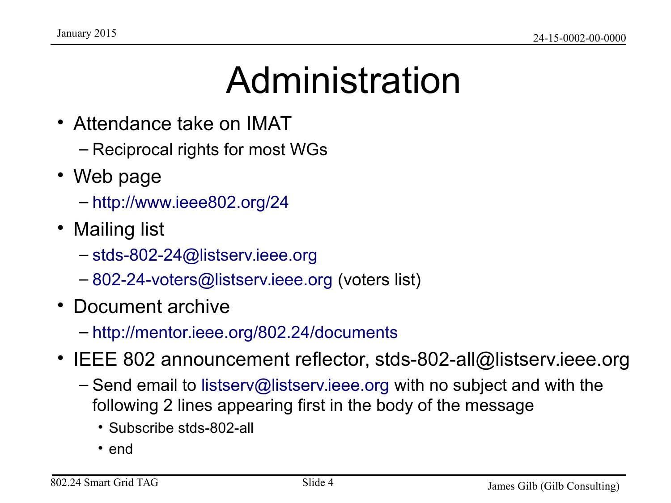## Administration

- Attendance take on IMAT
	- Reciprocal rights for most WGs
- Web page
	- <http://www.ieee802.org/24>
- Mailing list
	- [stds-802-24@listserv.ieee.org](mailto:stds-802-24@listserv.ieee.org)
	- [802-24-voters@listserv.ieee.org](mailto:802-24-voters@listserv.ieee.org) (voters list)
- Document archive
	- <http://mentor.ieee.org/802.24/documents>
- IEEE 802 announcement reflector, stds-802-all@listserv.ieee.org
	- Send email to [listserv@listserv.ieee.org](mailto:listserv@listserv.ieee.org) with no subject and with the following 2 lines appearing first in the body of the message
		- Subscribe stds-802-all
		- end